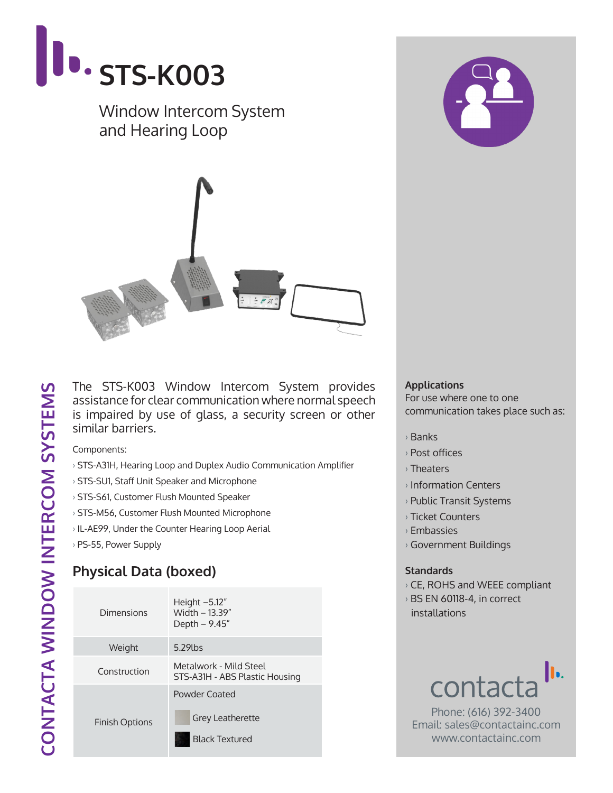

The STS-K003 Window Intercom System provides assistance for clear communication where normal speech is impaired by use of glass, a security screen or other similar barriers.

Components:

- › STS-A31H, Hearing Loop and Duplex Audio Communication Amplifier
- › STS-SU1, Staff Unit Speaker and Microphone
- › STS-S61, Customer Flush Mounted Speaker
- › STS-M56, Customer Flush Mounted Microphone
- › IL-AE99, Under the Counter Hearing Loop Aerial
- › PS-55, Power Supply

## **Physical Data (boxed)**

| Dimensions            | Height $-5.12"$<br>Width - 13.39"<br>Depth - 9.45"                |  |
|-----------------------|-------------------------------------------------------------------|--|
| Weight                | 5.29lbs                                                           |  |
| Construction          | Metalwork - Mild Steel<br>STS-A31H - ABS Plastic Housing          |  |
| <b>Finish Options</b> | Powder Coated<br><b>Grey Leatherette</b><br><b>Black Textured</b> |  |

## **Applications**

For use where one to one communication takes place such as:

- › Banks
- › Post offices
- › Theaters
- › Information Centers
- › Public Transit Systems
- › Ticket Counters
- › Embassies
- › Government Buildings

## **Standards**

- › CE, ROHS and WEEE compliant
- › BS EN 60118-4, in correct installations



Phone: (616) 392-3400 Email: sales@contactainc.com www.contactainc.com